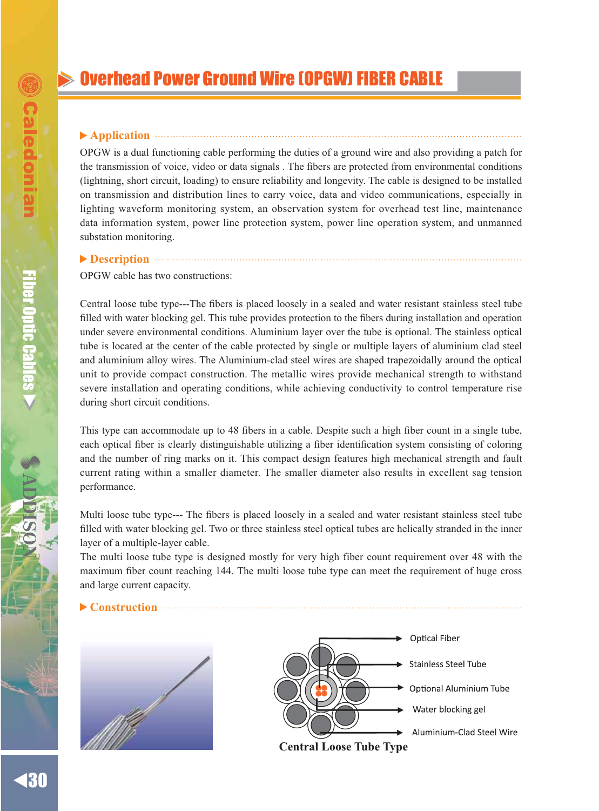# **Overhead Power Ground Wire (OPGW) FIBER CABLE**

## **Application**

OPGW is a dual functioning cable performing the duties of a ground wire and also providing a patch for the transmission of voice, video or data signals. The fibers are protected from environmental conditions (lightning, short circuit, loading) to ensure reliability and longevity. The cable is designed to be installed on transmission and distribution lines to carry voice, data and video communications, especially in lighting waveform monitoring system, an observation system for overhead test line, maintenance data information system, power line protection system, power line operation system, and unmanned substation monitoring.

#### **Description**

OPGW cable has two constructions:

Central loose tube type---The fibers is placed loosely in a sealed and water resistant stainless steel tube filled with water blocking gel. This tube provides protection to the fibers during installation and operation under severe environmental conditions. Aluminium layer over the tube is optional. The stainless optical tube is located at the center of the cable protected by single or multiple layers of aluminium clad steel and aluminium alloy wires. The Aluminium-clad steel wires are shaped trapezoidally around the optical unit to provide compact construction. The metallic wires provide mechanical strength to withstand severe installation and operating conditions, while achieving conductivity to control temperature rise during short circuit conditions.

This type can accommodate up to 48 fibers in a cable. Despite such a high fiber count in a single tube, each optical fiber is clearly distinguishable utilizing a fiber identification system consisting of coloring and the number of ring marks on it. This compact design features high mechanical strength and fault current rating within a smaller diameter. The smaller diameter also results in excellent sag tension performance.

Multi loose tube type--- The fibers is placed loosely in a sealed and water resistant stainless steel tube filled with water blocking gel. Two or three stainless steel optical tubes are helically stranded in the inner layer of a multiple-layer cable.

The multi loose tube type is designed mostly for very high fiber count requirement over 48 with the maximum fiber count reaching 144. The multi loose tube type can meet the requirement of huge cross and large current capacity.





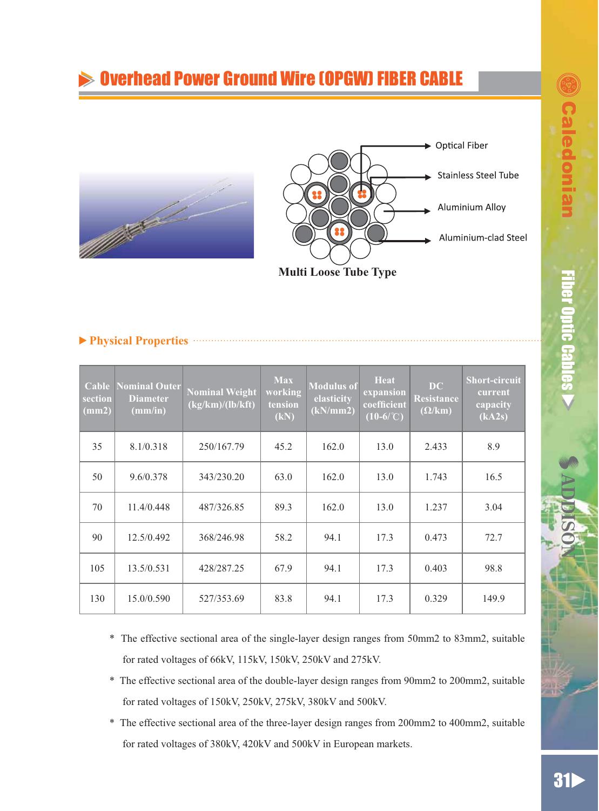ƷƷ

# $>0$ verhead Power Ground Wire (OPGW) FIBER CABLE



**Multi Loose Tube Type**

|--|--|--|--|

and a series of the contract of

| Cable<br>section<br>(mm2) | Nominal Outer<br><b>Diameter</b><br>(mm/in) | <b>Nominal Weight</b><br>(kg/km)/(lb/kft) | <b>Max</b><br>working<br>tension<br>(kN) | <b>Modulus of</b><br>elasticity<br>(kN/mm2) | Heat<br>expansion<br>coefficient<br>$(10-6$ /°C) | $\bf DC$<br>Resistance<br>$(\Omega/\mathrm{km})$ | <b>Short-circuit</b><br>current<br>capacity<br>(kA2s) |
|---------------------------|---------------------------------------------|-------------------------------------------|------------------------------------------|---------------------------------------------|--------------------------------------------------|--------------------------------------------------|-------------------------------------------------------|
| 35                        | 8.1/0.318                                   | 250/167.79                                | 45.2                                     | 162.0                                       | 13.0                                             | 2.433                                            | 8.9                                                   |
| 50                        | 9.6/0.378                                   | 343/230.20                                | 63.0                                     | 162.0                                       | 13.0                                             | 1.743                                            | 16.5                                                  |
| 70                        | 11.4/0.448                                  | 487/326.85                                | 89.3                                     | 162.0                                       | 13.0                                             | 1.237                                            | 3.04                                                  |
| 90                        | 12.5/0.492                                  | 368/246.98                                | 58.2                                     | 94.1                                        | 17.3                                             | 0.473                                            | 72.7                                                  |
| 105                       | 13.5/0.531                                  | 428/287.25                                | 67.9                                     | 94.1                                        | 17.3                                             | 0.403                                            | 98.8                                                  |
| 130                       | 15.0/0.590                                  | 527/353.69                                | 83.8                                     | 94.1                                        | 17.3                                             | 0.329                                            | 149.9                                                 |

- \* The effective sectional area of the single-layer design ranges from 50mm2 to 83mm2, suitable for rated voltages of 66kV, 115kV, 150kV, 250kV and 275kV.
- \* The effective sectional area of the double-layer design ranges from 90mm2 to 200mm2, suitable for rated voltages of 150kV, 250kV, 275kV, 380kV and 500kV.
- \* The effective sectional area of the three-layer design ranges from 200mm2 to 400mm2, suitable for rated voltages of 380kV, 420kV and 500kV in European markets.